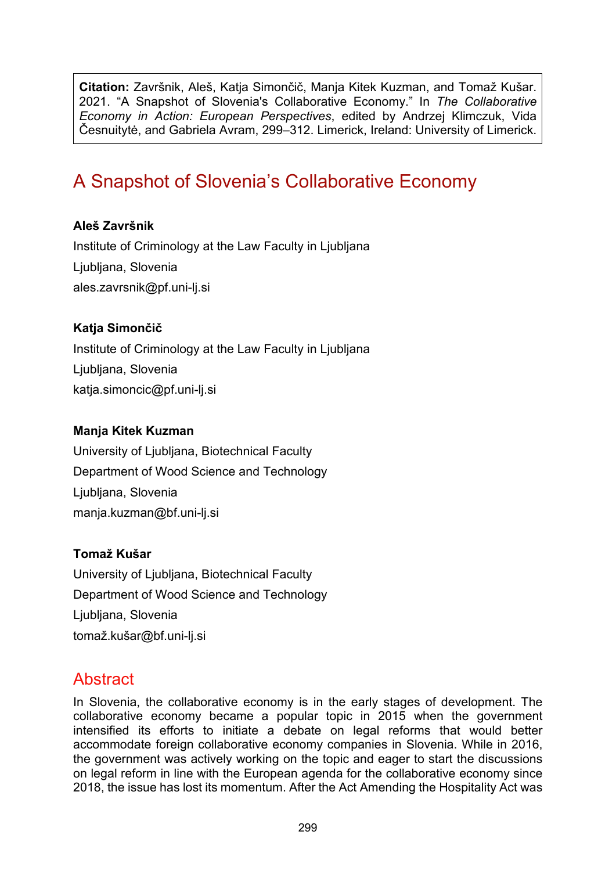**Citation:** Završnik, Aleš, Katja Simončič, Manja Kitek Kuzman, and Tomaž Kušar. 2021. "A Snapshot of Slovenia's Collaborative Economy." In *The Collaborative Economy in Action: European Perspectives*, edited by Andrzej Klimczuk, Vida Česnuitytė, and Gabriela Avram, 299–312. Limerick, Ireland: University of Limerick.

# A Snapshot of Slovenia's Collaborative Economy

#### **Aleš Završnik**

Institute of Criminology at the Law Faculty in Ljubljana Ljubljana, Slovenia [ales.zavrsnik@pf.uni-lj.si](mailto:ales.zavrsnik@pf.uni-lj.si)

#### **Katja Simončič**

Institute of Criminology at the Law Faculty in Ljubljana Ljubljana, Slovenia katja.simoncic@pf.uni-lj.si

#### **Manja Kitek Kuzman**

University of Ljubljana, Biotechnical Faculty Department of Wood Science and Technology Liubliana, Slovenia [manja.kuzman@bf.uni](mailto:manja.kuzman@bf.uni-lj.si)-lj.si

#### **Tomaž Kušar**

University of Ljubljana, Biotechnical Faculty Department of Wood Science and Technology Ljubljana, Slovenia [tomaž.kušar@bf.uni](mailto:toma%C5%BE.ku%C5%A1ar@bf.uni-lj.si)-lj.si

# **Abstract**

In Slovenia, the collaborative economy is in the early stages of development. The collaborative economy became a popular topic in 2015 when the government intensified its efforts to initiate a debate on legal reforms that would better accommodate foreign collaborative economy companies in Slovenia. While in 2016, the government was actively working on the topic and eager to start the discussions on legal reform in line with the European agenda for the collaborative economy since 2018, the issue has lost its momentum. After the Act Amending the Hospitality Act was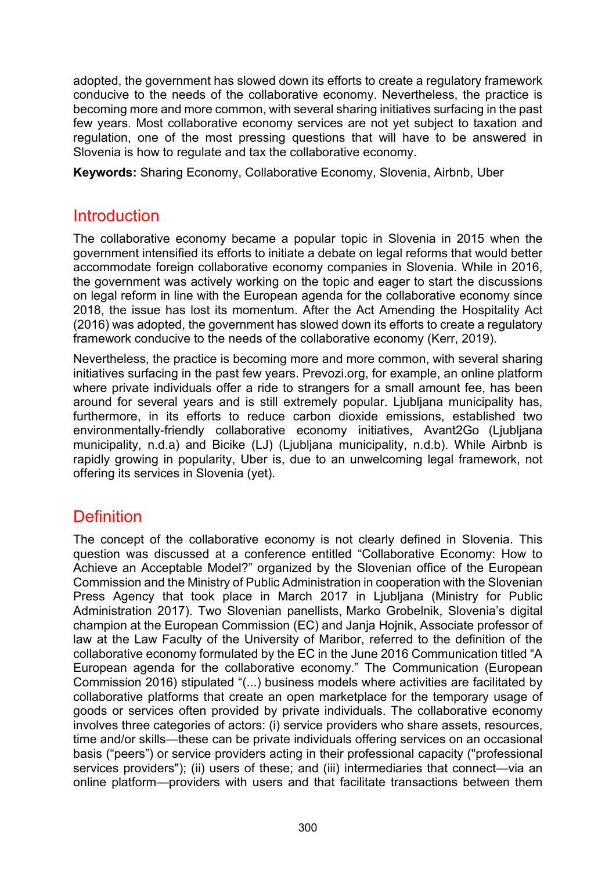adopted, the government has slowed down its efforts to create a regulatory framework conducive to the needs of the collaborative economy. Nevertheless, the practice is becoming more and more common, with several sharing initiatives surfacing in the past few years. Most collaborative economy services are not yet subject to taxation and regulation, one of the most pressing questions that will have to be answered in Slovenia is how to regulate and tax the collaborative economy.

**Keywords:** Sharing Economy, Collaborative Economy, Slovenia, Airbnb, Uber

### **Introduction**

The collaborative economy became a popular topic in Slovenia in 2015 when the government intensified its efforts to initiate a debate on legal reforms that would better accommodate foreign collaborative economy companies in Slovenia. While in 2016, the government was actively working on the topic and eager to start the discussions on legal reform in line with the European agenda for the collaborative economy since 2018, the issue has lost its momentum. After the Act Amending the Hospitality Act (2016) was adopted, the government has slowed down its efforts to create a regulatory framework conducive to the needs of the collaborative economy (Kerr, 2019).

Nevertheless, the practice is becoming more and more common, with several sharing initiatives surfacing in the past few years. Prevozi.org, for example, an online platform where private individuals offer a ride to strangers for a small amount fee, has been around for several years and is still extremely popular. Ljubljana municipality has, furthermore, in its efforts to reduce carbon dioxide emissions, established two environmentally-friendly collaborative economy initiatives, Avant2Go (Ljubljana municipality, n.d.a) and Bicike (LJ) (Ljubljana municipality, n.d.b). While Airbnb is rapidly growing in popularity, Uber is, due to an unwelcoming legal framework, not offering its services in Slovenia (yet).

# **Definition**

The concept of the collaborative economy is not clearly defined in Slovenia. This question was discussed at a conference entitled "Collaborative Economy: How to Achieve an Acceptable Model?" organized by the Slovenian office of the European Commission and the Ministry of Public Administration in cooperation with the Slovenian Press Agency that took place in March 2017 in Ljubljana (Ministry for Public Administration 2017). Two Slovenian panellists, Marko Grobelnik, Slovenia's digital champion at the European Commission (EC) and Janja Hojnik, Associate professor of law at the Law Faculty of the University of Maribor, referred to the definition of the collaborative economy formulated by the EC in the June 2016 Communication titled "A European agenda for the collaborative economy." The Communication (European Commission 2016) stipulated "(...) business models where activities are facilitated by collaborative platforms that create an open marketplace for the temporary usage of goods or services often provided by private individuals. The collaborative economy involves three categories of actors: (i) service providers who share assets, resources, time and/or skills—these can be private individuals offering services on an occasional basis ("peers") or service providers acting in their professional capacity ("professional services providers"); (ii) users of these; and (iii) intermediaries that connect—via an online platform—providers with users and that facilitate transactions between them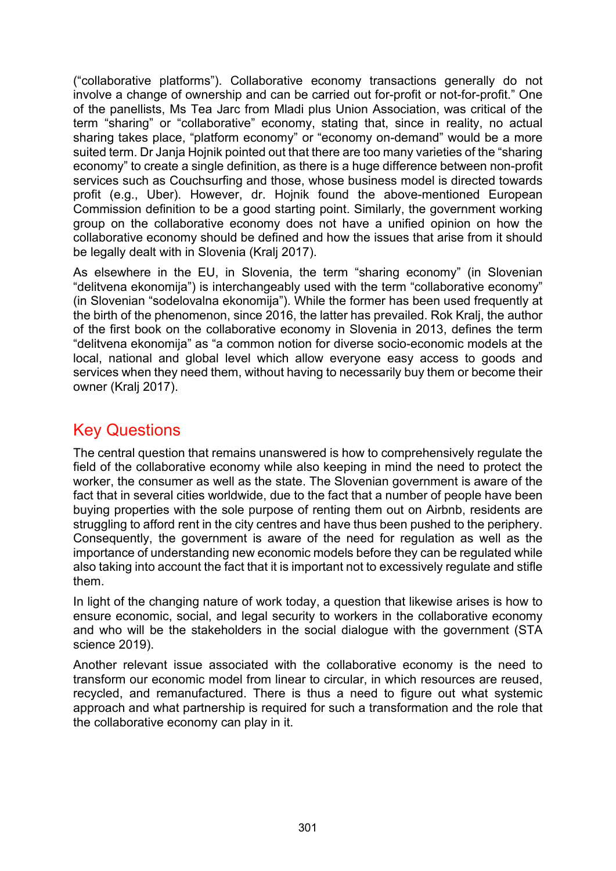("collaborative platforms"). Collaborative economy transactions generally do not involve a change of ownership and can be carried out for-profit or not-for-profit." One of the panellists, Ms Tea Jarc from Mladi plus Union Association, was critical of the term "sharing" or "collaborative" economy, stating that, since in reality, no actual sharing takes place, "platform economy" or "economy on-demand" would be a more suited term. Dr Janja Hojnik pointed out that there are too many varieties of the "sharing economy" to create a single definition, as there is a huge difference between non-profit services such as Couchsurfing and those, whose business model is directed towards profit (e.g., Uber). However, dr. Hojnik found the above-mentioned European Commission definition to be a good starting point. Similarly, the government working group on the collaborative economy does not have a unified opinion on how the collaborative economy should be defined and how the issues that arise from it should be legally dealt with in Slovenia (Kralj 2017).

As elsewhere in the EU, in Slovenia, the term "sharing economy" (in Slovenian "delitvena ekonomija") is interchangeably used with the term "collaborative economy" (in Slovenian "sodelovalna ekonomija"). While the former has been used frequently at the birth of the phenomenon, since 2016, the latter has prevailed. Rok Kralj, the author of the first book on the collaborative economy in Slovenia in 2013, defines the term "delitvena ekonomija" as "a common notion for diverse socio-economic models at the local, national and global level which allow everyone easy access to goods and services when they need them, without having to necessarily buy them or become their owner (Kralj 2017).

# Key Questions

The central question that remains unanswered is how to comprehensively regulate the field of the collaborative economy while also keeping in mind the need to protect the worker, the consumer as well as the state. The Slovenian government is aware of the fact that in several cities worldwide, due to the fact that a number of people have been buying properties with the sole purpose of renting them out on Airbnb, residents are struggling to afford rent in the city centres and have thus been pushed to the periphery. Consequently, the government is aware of the need for regulation as well as the importance of understanding new economic models before they can be regulated while also taking into account the fact that it is important not to excessively regulate and stifle them.

In light of the changing nature of work today, a question that likewise arises is how to ensure economic, social, and legal security to workers in the collaborative economy and who will be the stakeholders in the social dialogue with the government (STA science 2019).

Another relevant issue associated with the collaborative economy is the need to transform our economic model from linear to circular, in which resources are reused, recycled, and remanufactured. There is thus a need to figure out what systemic approach and what partnership is required for such a transformation and the role that the collaborative economy can play in it.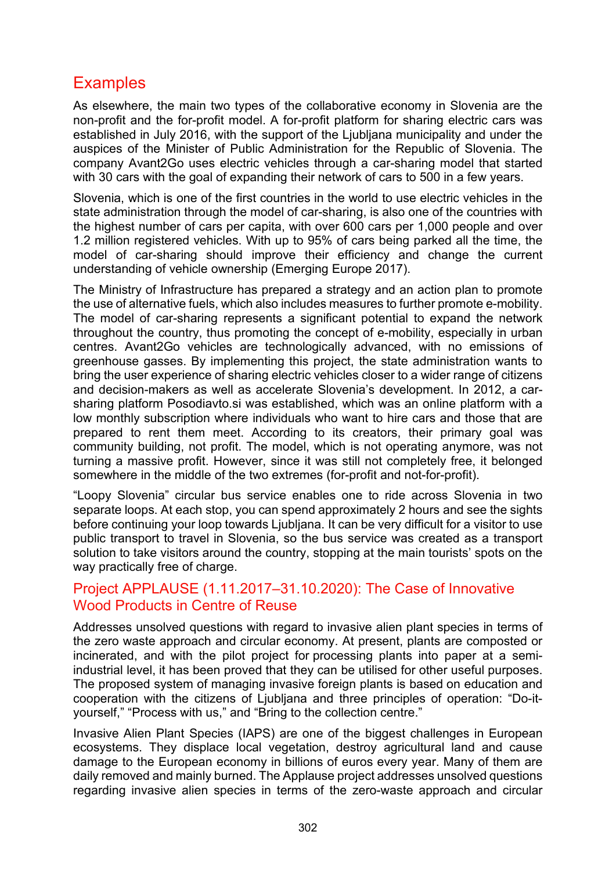# **Examples**

As elsewhere, the main two types of the collaborative economy in Slovenia are the non-profit and the for-profit model. A for-profit platform for sharing electric cars was established in July 2016, with the support of the Ljubljana municipality and under the auspices of the Minister of Public Administration for the Republic of Slovenia. The company Avant2Go uses electric vehicles through a car-sharing model that started with 30 cars with the goal of expanding their network of cars to 500 in a few years.

Slovenia, which is one of the first countries in the world to use electric vehicles in the state administration through the model of car-sharing, is also one of the countries with the highest number of cars per capita, with over 600 cars per 1,000 people and over 1.2 million registered vehicles. With up to 95% of cars being parked all the time, the model of car-sharing should improve their efficiency and change the current understanding of vehicle ownership (Emerging Europe 2017).

The Ministry of Infrastructure has prepared a strategy and an action plan to promote the use of alternative fuels, which also includes measures to further promote e-mobility. The model of car-sharing represents a significant potential to expand the network throughout the country, thus promoting the concept of e-mobility, especially in urban centres. Avant2Go vehicles are technologically advanced, with no emissions of greenhouse gasses. By implementing this project, the state administration wants to bring the user experience of sharing electric vehicles closer to a wider range of citizens and decision-makers as well as accelerate Slovenia's development. In 2012, a carsharing platform Posodiavto.si was established, which was an online platform with a low monthly subscription where individuals who want to hire cars and those that are prepared to rent them meet. According to its creators, their primary goal was community building, not profit. The model, which is not operating anymore, was not turning a massive profit. However, since it was still not completely free, it belonged somewhere in the middle of the two extremes (for-profit and not-for-profit).

"Loopy Slovenia" circular bus service enables one to ride across Slovenia in two separate loops. At each stop, you can spend approximately 2 hours and see the sights before continuing your loop towards Ljubljana. It can be very difficult for a visitor to use public transport to travel in Slovenia, so the bus service was created as a transport solution to take visitors around the country, stopping at the main tourists' spots on the way practically free of charge.

#### Project APPLAUSE (1.11.2017–31.10.2020): The Case of Innovative Wood Products in Centre of Reuse

Addresses unsolved questions with regard to invasive alien plant species in terms of the zero waste approach and circular economy. At present, plants are composted or incinerated, and with the pilot project for processing plants into paper at a semiindustrial level, it has been proved that they can be utilised for other useful purposes. The proposed system of managing invasive foreign plants is based on education and cooperation with the citizens of Ljubljana and three principles of operation: "Do-ityourself," "Process with us," and "Bring to the collection centre."

Invasive Alien Plant Species (IAPS) are one of the biggest challenges in European ecosystems. They displace local vegetation, destroy agricultural land and cause damage to the European economy in billions of euros every year. Many of them are daily removed and mainly burned. The Applause project addresses unsolved questions regarding invasive alien species in terms of the zero-waste approach and circular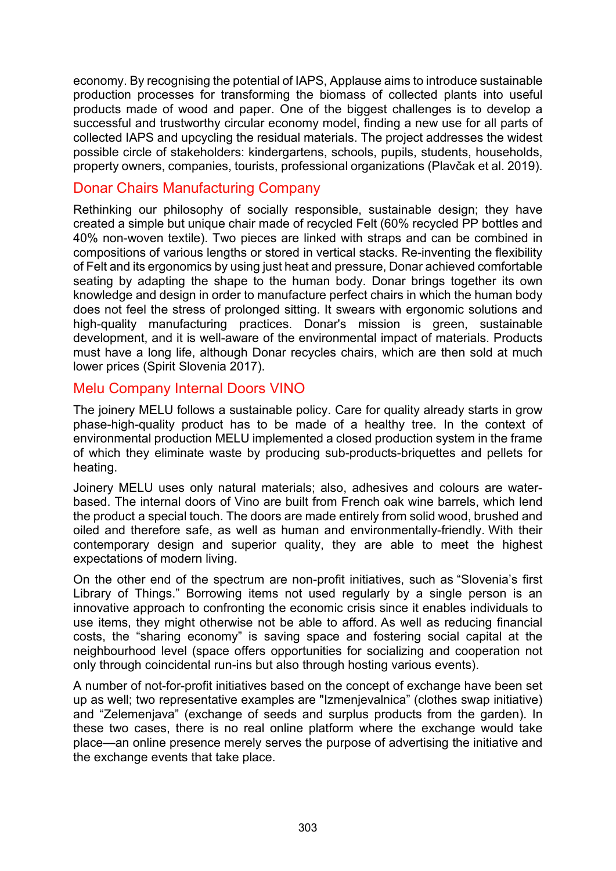economy. By recognising the potential of IAPS, Applause aims to introduce sustainable production processes for transforming the biomass of collected plants into useful products made of wood and paper. One of the biggest challenges is to develop a successful and trustworthy circular economy model, finding a new use for all parts of collected IAPS and upcycling the residual materials. The project addresses the widest possible circle of stakeholders: kindergartens, schools, pupils, students, households, property owners, companies, tourists, professional organizations (Plavčak et al. 2019).

#### Donar Chairs Manufacturing Company

Rethinking our philosophy of socially responsible, sustainable design; they have created a simple but unique chair made of recycled Felt (60% recycled PP bottles and 40% non-woven textile). Two pieces are linked with straps and can be combined in compositions of various lengths or stored in vertical stacks. Re-inventing the flexibility of Felt and its ergonomics by using just heat and pressure, Donar achieved comfortable seating by adapting the shape to the human body. Donar brings together its own knowledge and design in order to manufacture perfect chairs in which the human body does not feel the stress of prolonged sitting. It swears with ergonomic solutions and high-quality manufacturing practices. Donar's mission is green, sustainable development, and it is well-aware of the environmental impact of materials. Products must have a long life, although Donar recycles chairs, which are then sold at much lower prices (Spirit Slovenia 2017).

#### Melu Company Internal Doors VINO

The joinery MELU follows a sustainable policy. Care for quality already starts in grow phase-high-quality product has to be made of a healthy tree. In the context of environmental production MELU implemented a closed production system in the frame of which they eliminate waste by producing sub-products-briquettes and pellets for heating.

Joinery MELU uses only natural materials; also, adhesives and colours are waterbased. The internal doors of Vino are built from French oak wine barrels, which lend the product a special touch. The doors are made entirely from solid wood, brushed and oiled and therefore safe, as well as human and environmentally-friendly. With their contemporary design and superior quality, they are able to meet the highest expectations of modern living.

On the other end of the spectrum are non-profit initiatives, such as "Slovenia's first Library of Things." Borrowing items not used regularly by a single person is an innovative approach to confronting the economic crisis since it enables individuals to use items, they might otherwise not be able to afford. As well as reducing financial costs, the "sharing economy" is saving space and fostering social capital at the neighbourhood level (space offers opportunities for socializing and cooperation not only through coincidental run-ins but also through hosting various events).

A number of not-for-profit initiatives based on the concept of exchange have been set up as well; two representative examples are "Izmenjevalnica" (clothes swap initiative) and "Zelemenjava" (exchange of seeds and surplus products from the garden). In these two cases, there is no real online platform where the exchange would take place—an online presence merely serves the purpose of advertising the initiative and the exchange events that take place.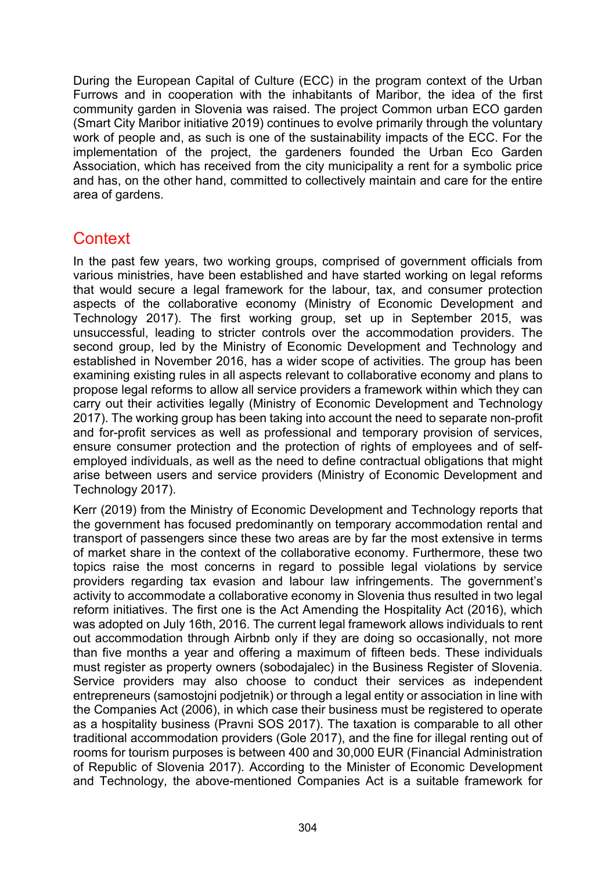During the European Capital of Culture (ECC) in the program context of the Urban Furrows and in cooperation with the inhabitants of Maribor, the idea of the first community garden in Slovenia was raised. The project Common urban ECO garden (Smart City Maribor initiative 2019) continues to evolve primarily through the voluntary work of people and, as such is one of the sustainability impacts of the ECC. For the implementation of the project, the gardeners founded the Urban Eco Garden Association, which has received from the city municipality a rent for a symbolic price and has, on the other hand, committed to collectively maintain and care for the entire area of gardens.

# **Context**

In the past few years, two working groups, comprised of government officials from various ministries, have been established and have started working on legal reforms that would secure a legal framework for the labour, tax, and consumer protection aspects of the collaborative economy (Ministry of Economic Development and Technology 2017). The first working group, set up in September 2015, was unsuccessful, leading to stricter controls over the accommodation providers. The second group, led by the Ministry of Economic Development and Technology and established in November 2016, has a wider scope of activities. The group has been examining existing rules in all aspects relevant to collaborative economy and plans to propose legal reforms to allow all service providers a framework within which they can carry out their activities legally (Ministry of Economic Development and Technology 2017). The working group has been taking into account the need to separate non-profit and for-profit services as well as professional and temporary provision of services, ensure consumer protection and the protection of rights of employees and of selfemployed individuals, as well as the need to define contractual obligations that might arise between users and service providers (Ministry of Economic Development and Technology 2017).

Kerr (2019) from the Ministry of Economic Development and Technology reports that the government has focused predominantly on temporary accommodation rental and transport of passengers since these two areas are by far the most extensive in terms of market share in the context of the collaborative economy. Furthermore, these two topics raise the most concerns in regard to possible legal violations by service providers regarding tax evasion and labour law infringements. The government's activity to accommodate a collaborative economy in Slovenia thus resulted in two legal reform initiatives. The first one is the Act Amending the Hospitality Act (2016), which was adopted on July 16th, 2016. The current legal framework allows individuals to rent out accommodation through Airbnb only if they are doing so occasionally, not more than five months a year and offering a maximum of fifteen beds. These individuals must register as property owners (sobodajalec) in the Business Register of Slovenia. Service providers may also choose to conduct their services as independent entrepreneurs (samostojni podjetnik) or through a legal entity or association in line with the Companies Act (2006), in which case their business must be registered to operate as a hospitality business (Pravni SOS 2017). The taxation is comparable to all other traditional accommodation providers (Gole 2017), and the fine for illegal renting out of rooms for tourism purposes is between 400 and 30,000 EUR (Financial Administration of Republic of Slovenia 2017). According to the Minister of Economic Development and Technology, the above-mentioned Companies Act is a suitable framework for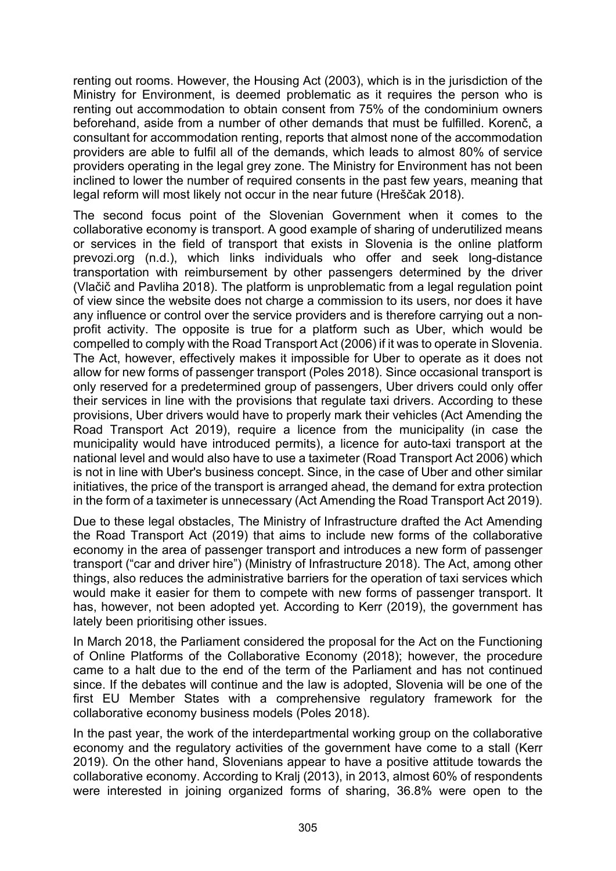renting out rooms. However, the Housing Act (2003), which is in the jurisdiction of the Ministry for Environment, is deemed problematic as it requires the person who is renting out accommodation to obtain consent from 75% of the condominium owners beforehand, aside from a number of other demands that must be fulfilled. Korenč, a consultant for accommodation renting, reports that almost none of the accommodation providers are able to fulfil all of the demands, which leads to almost 80% of service providers operating in the legal grey zone. The Ministry for Environment has not been inclined to lower the number of required consents in the past few years, meaning that legal reform will most likely not occur in the near future (Hreščak 2018).

The second focus point of the Slovenian Government when it comes to the collaborative economy is transport. A good example of sharing of underutilized means or services in the field of transport that exists in Slovenia is the online platform prevozi.org (n.d.), which links individuals who offer and seek long-distance transportation with reimbursement by other passengers determined by the driver (Vlačič and Pavliha 2018). The platform is unproblematic from a legal regulation point of view since the website does not charge a commission to its users, nor does it have any influence or control over the service providers and is therefore carrying out a nonprofit activity. The opposite is true for a platform such as Uber, which would be compelled to comply with the Road Transport Act (2006) if it was to operate in Slovenia. The Act, however, effectively makes it impossible for Uber to operate as it does not allow for new forms of passenger transport (Poles 2018). Since occasional transport is only reserved for a predetermined group of passengers, Uber drivers could only offer their services in line with the provisions that regulate taxi drivers. According to these provisions, Uber drivers would have to properly mark their vehicles (Act Amending the Road Transport Act 2019), require a licence from the municipality (in case the municipality would have introduced permits), a licence for auto-taxi transport at the national level and would also have to use a taximeter (Road Transport Act 2006) which is not in line with Uber's business concept. Since, in the case of Uber and other similar initiatives, the price of the transport is arranged ahead, the demand for extra protection in the form of a taximeter is unnecessary (Act Amending the Road Transport Act 2019).

Due to these legal obstacles, The Ministry of Infrastructure drafted the Act Amending the Road Transport Act (2019) that aims to include new forms of the collaborative economy in the area of passenger transport and introduces a new form of passenger transport ("car and driver hire") (Ministry of Infrastructure 2018). The Act, among other things, also reduces the administrative barriers for the operation of taxi services which would make it easier for them to compete with new forms of passenger transport. It has, however, not been adopted yet. According to Kerr (2019), the government has lately been prioritising other issues.

In March 2018, the Parliament considered the proposal for the Act on the Functioning of Online Platforms of the Collaborative Economy (2018); however, the procedure came to a halt due to the end of the term of the Parliament and has not continued since. If the debates will continue and the law is adopted, Slovenia will be one of the first EU Member States with a comprehensive regulatory framework for the collaborative economy business models (Poles 2018).

In the past year, the work of the interdepartmental working group on the collaborative economy and the regulatory activities of the government have come to a stall (Kerr 2019). On the other hand, Slovenians appear to have a positive attitude towards the collaborative economy. According to Kralj (2013), in 2013, almost 60% of respondents were interested in joining organized forms of sharing, 36.8% were open to the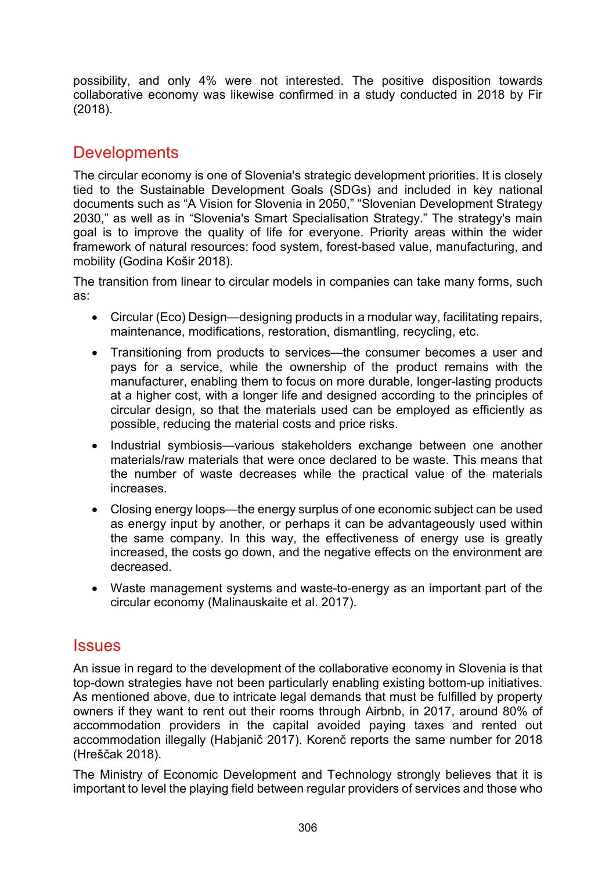possibility, and only 4% were not interested. The positive disposition towards collaborative economy was likewise confirmed in a study conducted in 2018 by Fir (2018).

# **Developments**

The circular economy is one of Slovenia's strategic development priorities. It is closely tied to the Sustainable Development Goals (SDGs) and included in key national documents such as "A Vision for Slovenia in 2050," "Slovenian Development Strategy 2030," as well as in "Slovenia's Smart Specialisation Strategy." The strategy's main goal is to improve the quality of life for everyone. Priority areas within the wider framework of natural resources: food system, forest-based value, manufacturing, and mobility (Godina Košir 2018).

The transition from linear to circular models in companies can take many forms, such as:

- Circular (Eco) Design—designing products in a modular way, facilitating repairs, maintenance, modifications, restoration, dismantling, recycling, etc.
- Transitioning from products to services—the consumer becomes a user and pays for a service, while the ownership of the product remains with the manufacturer, enabling them to focus on more durable, longer-lasting products at a higher cost, with a longer life and designed according to the principles of circular design, so that the materials used can be employed as efficiently as possible, reducing the material costs and price risks.
- Industrial symbiosis—various stakeholders exchange between one another materials/raw materials that were once declared to be waste. This means that the number of waste decreases while the practical value of the materials increases.
- Closing energy loops—the energy surplus of one economic subject can be used as energy input by another, or perhaps it can be advantageously used within the same company. In this way, the effectiveness of energy use is greatly increased, the costs go down, and the negative effects on the environment are decreased.
- Waste management systems and [waste-to-energy](https://www.sciencedirect.com/topics/engineering/waste-to-energy) as an important part of the circular economy (Malinauskaite et al. 2017).

#### **Issues**

An issue in regard to the development of the collaborative economy in Slovenia is that top-down strategies have not been particularly enabling existing bottom-up initiatives. As mentioned above, due to intricate legal demands that must be fulfilled by property owners if they want to rent out their rooms through Airbnb, in 2017, around 80% of accommodation providers in the capital avoided paying taxes and rented out accommodation illegally (Habjanič 2017). Korenč reports the same number for 2018 (Hreščak 2018).

The Ministry of Economic Development and Technology strongly believes that it is important to level the playing field between regular providers of services and those who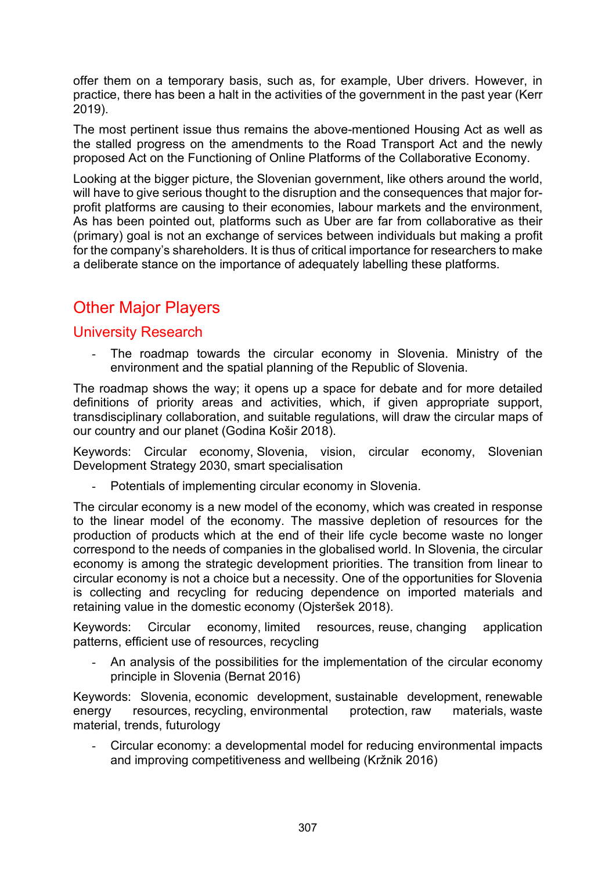offer them on a temporary basis, such as, for example, Uber drivers. However, in practice, there has been a halt in the activities of the government in the past year (Kerr 2019).

The most pertinent issue thus remains the above-mentioned Housing Act as well as the stalled progress on the amendments to the Road Transport Act and the newly proposed Act on the Functioning of Online Platforms of the Collaborative Economy.

Looking at the bigger picture, the Slovenian government, like others around the world, will have to give serious thought to the disruption and the consequences that major forprofit platforms are causing to their economies, labour markets and the environment, As has been pointed out, platforms such as Uber are far from collaborative as their (primary) goal is not an exchange of services between individuals but making a profit for the company's shareholders. It is thus of critical importance for researchers to make a deliberate stance on the importance of adequately labelling these platforms.

# Other Major Players

#### University Research

- The roadmap towards the circular economy in Slovenia. Ministry of the environment and the spatial planning of the Republic of Slovenia.

The roadmap shows the way; it opens up a space for debate and for more detailed definitions of priority areas and activities, which, if given appropriate support, transdisciplinary collaboration, and suitable regulations, will draw the circular maps of our country and our planet (Godina Košir 2018).

Keywords: [Circular economy,](https://dk.um.si/Iskanje.php?type=napredno&stl0=KljucneBesede&niz0=Circular+economy&lang=slv) Slovenia, vision, circular economy, Slovenian Development Strategy 2030, smart specialisation

Potentials of implementing circular economy in Slovenia.

The circular economy is a new model of the economy, which was created in response to the linear model of the economy. The massive depletion of resources for the production of products which at the end of their life cycle become waste no longer correspond to the needs of companies in the globalised world. In Slovenia, the circular economy is among the strategic development priorities. The transition from linear to circular economy is not a choice but a necessity. One of the opportunities for Slovenia is collecting and recycling for reducing dependence on imported materials and retaining value in the domestic economy (Ojsteršek 2018).

Keywords: [Circular economy,](https://dk.um.si/Iskanje.php?type=napredno&stl0=KljucneBesede&niz0=Circular+economy&lang=slv) [limited resources,](https://dk.um.si/Iskanje.php?type=napredno&stl0=KljucneBesede&niz0=limited+resources&lang=slv) [reuse,](https://dk.um.si/Iskanje.php?type=napredno&stl0=KljucneBesede&niz0=reuse&lang=slv) [changing application](https://dk.um.si/Iskanje.php?type=napredno&stl0=KljucneBesede&niz0=changing+application+patterns&lang=slv)  [patterns,](https://dk.um.si/Iskanje.php?type=napredno&stl0=KljucneBesede&niz0=changing+application+patterns&lang=slv) [efficient use of resources,](https://dk.um.si/Iskanje.php?type=napredno&stl0=KljucneBesede&niz0=efficient+use+of+resources&lang=slv) [recycling](https://dk.um.si/Iskanje.php?type=napredno&stl0=KljucneBesede&niz0=recycling.&lang=slv)

- An analysis of the possibilities for the implementation of the circular economy principle in Slovenia (Bernat 2016)

Keywords: [Slovenia,](https://repozitorij.uni-lj.si/Iskanje.php?type=napredno&stl0=KljucneBesede&niz0=Slovenia&lang=slv) [economic development,](https://repozitorij.uni-lj.si/Iskanje.php?type=napredno&stl0=KljucneBesede&niz0=economic+development&lang=slv) [sustainable development](https://repozitorij.uni-lj.si/Iskanje.php?type=napredno&stl0=KljucneBesede&niz0=sustainable+development&lang=slv), [renewable](https://repozitorij.uni-lj.si/Iskanje.php?type=napredno&stl0=KljucneBesede&niz0=renewable+energy+resources&lang=slv)  [energy resources,](https://repozitorij.uni-lj.si/Iskanje.php?type=napredno&stl0=KljucneBesede&niz0=renewable+energy+resources&lang=slv) [recycling,](https://repozitorij.uni-lj.si/Iskanje.php?type=napredno&stl0=KljucneBesede&niz0=recycling&lang=slv) [environmental protection,](https://repozitorij.uni-lj.si/Iskanje.php?type=napredno&stl0=KljucneBesede&niz0=environmental+protection&lang=slv) [raw materials,](https://repozitorij.uni-lj.si/Iskanje.php?type=napredno&stl0=KljucneBesede&niz0=raw+materials&lang=slv) [waste](https://repozitorij.uni-lj.si/Iskanje.php?type=napredno&stl0=KljucneBesede&niz0=waste+material&lang=slv)  [material,](https://repozitorij.uni-lj.si/Iskanje.php?type=napredno&stl0=KljucneBesede&niz0=waste+material&lang=slv) [trends,](https://repozitorij.uni-lj.si/Iskanje.php?type=napredno&stl0=KljucneBesede&niz0=trends&lang=slv) [futurology](https://repozitorij.uni-lj.si/Iskanje.php?type=napredno&stl0=KljucneBesede&niz0=futurology&lang=slv)

Circular economy: a developmental model for reducing environmental impacts and improving competitiveness and wellbeing (Kržnik 2016)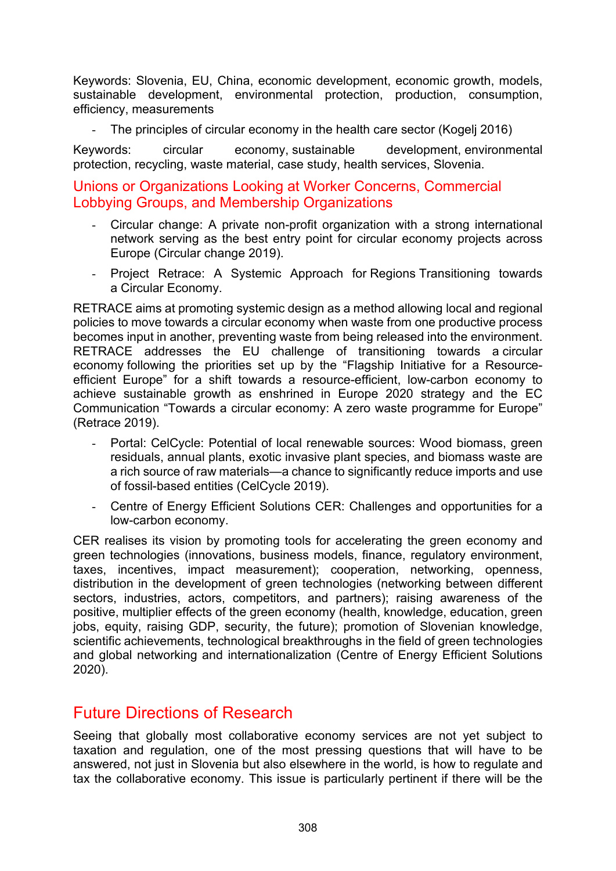Keywords: Slovenia, EU, China, economic development, economic growth, models, sustainable development, environmental protection, production, consumption, efficiency, measurements

- The principles of circular economy in the health care sector (Kogelj 2016)

Keywords: [circular economy,](https://repozitorij.uni-lj.si/Iskanje.php?type=napredno&stl0=KljucneBesede&niz0=circular+economy&lang=eng) [sustainable development](https://repozitorij.uni-lj.si/Iskanje.php?type=napredno&stl0=KljucneBesede&niz0=sustainable+development&lang=eng), [environmental](https://repozitorij.uni-lj.si/Iskanje.php?type=napredno&stl0=KljucneBesede&niz0=environmental+protection&lang=eng)  [protection,](https://repozitorij.uni-lj.si/Iskanje.php?type=napredno&stl0=KljucneBesede&niz0=environmental+protection&lang=eng) [recycling,](https://repozitorij.uni-lj.si/Iskanje.php?type=napredno&stl0=KljucneBesede&niz0=recycling&lang=eng) [waste material,](https://repozitorij.uni-lj.si/Iskanje.php?type=napredno&stl0=KljucneBesede&niz0=waste+material&lang=eng) [case study,](https://repozitorij.uni-lj.si/Iskanje.php?type=napredno&stl0=KljucneBesede&niz0=case+study&lang=eng) [health services,](https://repozitorij.uni-lj.si/Iskanje.php?type=napredno&stl0=KljucneBesede&niz0=health+services&lang=eng) [Slovenia.](https://repozitorij.uni-lj.si/Iskanje.php?type=napredno&stl0=KljucneBesede&niz0=Slovenia&lang=eng)

#### Unions or Organizations Looking at Worker Concerns, Commercial Lobbying Groups, and Membership Organizations

- Circular change: A private non-profit organization with a strong international network serving as the best entry point for circular economy projects across Europe (Circular change 2019).
- Project Retrace: A Systemic Approach for Regions Transitioning towards a Circular Economy.

RETRACE aims at promoting systemic design as a method allowing local and regional policies to move towards a circular economy when waste from one productive process becomes input in another, preventing waste from being released into the environment. RETRACE addresses the EU challenge of transitioning towards a circular economy following the priorities set up by the "Flagship Initiative for a Resourceefficient Europe" for a shift towards a resource-efficient, low-carbon economy to achieve sustainable growth as enshrined in Europe 2020 strategy and the EC Communication "Towards a circular economy: A zero waste programme for Europe" (Retrace 2019).

- Portal: CelCycle: Potential of local renewable sources: Wood biomass, green residuals, annual plants, exotic invasive plant species, and biomass waste are a rich source of raw materials—a chance to significantly reduce imports and use of fossil-based entities (CelCycle 2019).
- Centre of Energy Efficient Solutions CER: Challenges and opportunities for a low-carbon economy.

CER realises its vision by promoting tools for accelerating the green economy and green technologies (innovations, business models, finance, regulatory environment, taxes, incentives, impact measurement); cooperation, networking, openness, distribution in the development of green technologies (networking between different sectors, industries, actors, competitors, and partners); raising awareness of the positive, multiplier effects of the green economy (health, knowledge, education, green jobs, equity, raising GDP, security, the future); promotion of Slovenian knowledge, scientific achievements, technological breakthroughs in the field of green technologies and global networking and internationalization (Centre of Energy Efficient Solutions 2020).

### Future Directions of Research

Seeing that globally most collaborative economy services are not yet subject to taxation and regulation, one of the most pressing questions that will have to be answered, not just in Slovenia but also elsewhere in the world, is how to regulate and tax the collaborative economy. This issue is particularly pertinent if there will be the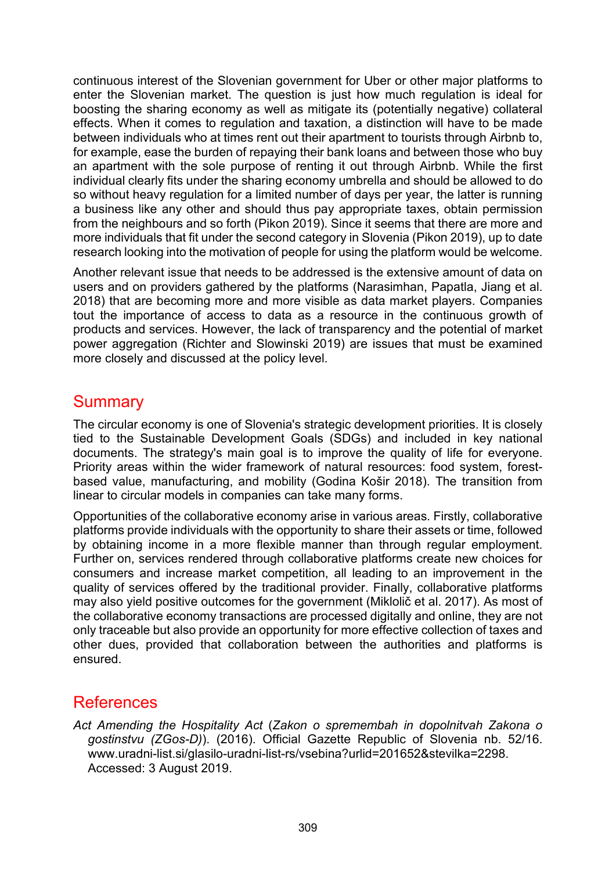continuous interest of the Slovenian government for Uber or other major platforms to enter the Slovenian market. The question is just how much regulation is ideal for boosting the sharing economy as well as mitigate its (potentially negative) collateral effects. When it comes to regulation and taxation, a distinction will have to be made between individuals who at times rent out their apartment to tourists through Airbnb to, for example, ease the burden of repaying their bank loans and between those who buy an apartment with the sole purpose of renting it out through Airbnb. While the first individual clearly fits under the sharing economy umbrella and should be allowed to do so without heavy regulation for a limited number of days per year, the latter is running a business like any other and should thus pay appropriate taxes, obtain permission from the neighbours and so forth (Pikon 2019). Since it seems that there are more and more individuals that fit under the second category in Slovenia (Pikon 2019), up to date research looking into the motivation of people for using the platform would be welcome.

Another relevant issue that needs to be addressed is the extensive amount of data on users and on providers gathered by the platforms (Narasimhan, Papatla, Jiang et al. 2018) that are becoming more and more visible as data market players. Companies tout the importance of access to data as a resource in the continuous growth of products and services. However, the lack of transparency and the potential of market power aggregation (Richter and Slowinski 2019) are issues that must be examined more closely and discussed at the policy level.

# **Summary**

The circular economy is one of Slovenia's strategic development priorities. It is closely tied to the Sustainable Development Goals (SDGs) and included in key national documents. The strategy's main goal is to improve the quality of life for everyone. Priority areas within the wider framework of natural resources: food system, forestbased value, manufacturing, and mobility (Godina Košir 2018). The transition from linear to circular models in companies can take many forms.

Opportunities of the collaborative economy arise in various areas. Firstly, collaborative platforms provide individuals with the opportunity to share their assets or time, followed by obtaining income in a more flexible manner than through regular employment. Further on, services rendered through collaborative platforms create new choices for consumers and increase market competition, all leading to an improvement in the quality of services offered by the traditional provider. Finally, collaborative platforms may also yield positive outcomes for the government (Miklolič et al. 2017). As most of the collaborative economy transactions are processed digitally and online, they are not only traceable but also provide an opportunity for more effective collection of taxes and other dues, provided that collaboration between the authorities and platforms is ensured.

# References

*Act Amending the Hospitality Act* (*Zakon o spremembah in dopolnitvah Zakona o gostinstvu (ZGos-D)*). (2016). Official Gazette Republic of Slovenia nb. 52/16. www.uradni-list.si/glasilo-uradni-list-[rs/vsebina?urlid=201652&stevilka=2298](https://www.uradni-list.si/glasilo-uradni-list-rs/vsebina?urlid=201652&stevilka=2298). Accessed: 3 August 2019.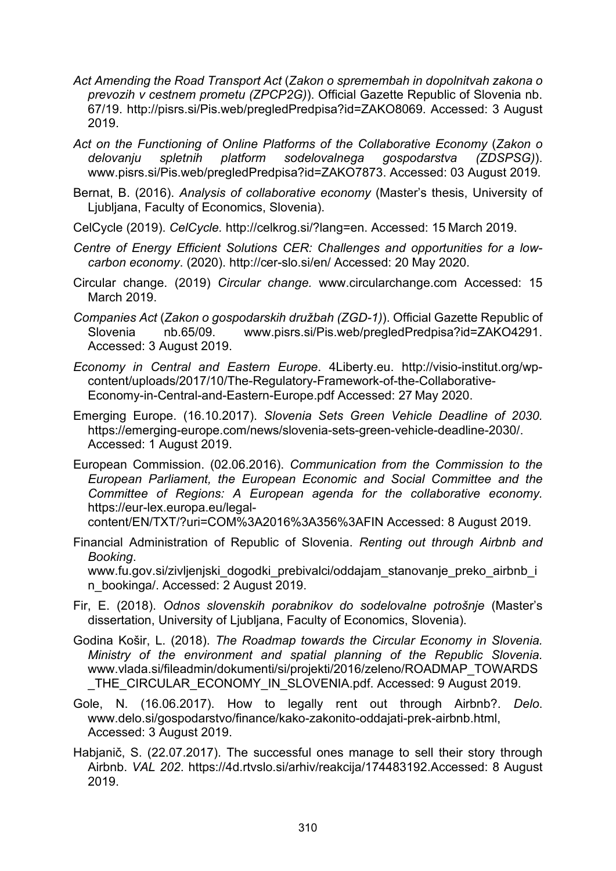- *Act Amending the Road Transport Act* (*Zakon o spremembah in dopolnitvah zakona o prevozih v cestnem prometu (ZPCP2G)*). Official Gazette Republic of Slovenia nb. 67/19. <http://pisrs.si/Pis.web/pregledPredpisa?id=ZAKO8069>. Accessed: 3 August 2019.
- *Act on the Functioning of Online Platforms of the Collaborative Economy* (*Zakon o delovanju spletnih platform sodelovalnega gospodarstva (ZDSPSG)*). www.pisrs.si/Pis.web/pregledPredpisa?id=ZAKO7873. Accessed: 03 August 2019.
- Bernat, B. (2016). *Analysis of collaborative economy* (Master's thesis, University of Ljubljana, Faculty of Economics, Slovenia).
- CelCycle (2019). *CelCycle.* [http://celkrog.si/?lang=en.](http://celkrog.si/?lang=en) Accessed: 15 March 2019.
- *Centre of Energy Efficient Solutions CER: Challenges and opportunities for a lowcarbon economy*. (2020).<http://cer-slo.si/en/> Accessed: 20 May 2020.
- Circular change. (2019) *Circular change.* www.circularchange.com Accessed: 15 March 2019.
- *Companies Act* (*Zakon o gospodarskih družbah (ZGD-1)*). Official Gazette Republic of Slovenia nb.65/09. [www.pisrs.si/Pis.web/pregledPredpisa?id=ZAKO4291](http://www.pisrs.si/Pis.web/pregledPredpisa?id=ZAKO4291). Accessed: 3 August 2019.
- *Economy in Central and Eastern Europe*. 4Liberty.eu. [http://visio-institut.org/wp](http://visio-institut.org/wp-content/uploads/2017/10/The-Regulatory)[content/uploads/2017/10/The-Regulatory-](http://visio-institut.org/wp-content/uploads/2017/10/The-Regulatory)Framework-of-the-Collaborative-Economy-in-Central-and-Eastern-Europe.pdf Accessed: 27 May 2020.

Emerging Europe. (16.10.2017). *Slovenia Sets Green Vehicle Deadline of 2030.*  [https://emerging-europe.com/news/slovenia-sets-green-vehicle-deadline-2030/.](https://emerging-europe.com/news/slovenia-sets-green-vehicle-deadline-2030/) Accessed: 1 August 2019.

European Commission. (02.06.2016). *Communication from the Commission to the European Parliament, the European Economic and Social Committee and the Committee of Regions: A European agenda for the collaborative economy.*  https://eur-[lex.europa.eu/legal](https://eur-lex.europa.eu/legal-content/EN/TXT/?uri=COM%3A2016%3A356%3AFIN)-

[content/EN/TXT/?uri=COM%3A2016%3A356%3AFIN](https://eur-lex.europa.eu/legal-content/EN/TXT/?uri=COM%3A2016%3A356%3AFIN) Accessed: 8 August 2019.

Financial Administration of Republic of Slovenia. *Renting out through Airbnb and Booking*.

www.fu.gov.si/zivljenjski dogodki prebivalci/oddajam stanovanje preko airbnb i [n\\_bookinga/](https://www.fu.gov.si/zivljenjski_dogodki_prebivalci/oddajam_stanovanje_preko_airbnb_in_bookinga/). Accessed: 2 August 2019.

- Fir, E. (2018). *Odnos slovenskih porabnikov do sodelovalne potrošnje* (Master's dissertation, University of Ljubljana, Faculty of Economics, Slovenia).
- Godina Košir, L. (2018). *The Roadmap towards the Circular Economy in Slovenia. Ministry of the environment and spatial planning of the Republic Slovenia.*  [www.vlada.si/fileadmin/dokumenti/si/projekti/2016/zeleno/ROADMAP\\_TOWARDS](http://www.vlada.si/fileadmin/dokumenti/si/projekti/2016/zeleno/ROADMAP_TOWARDS_THE_CIRCULAR_ECONOMY_IN_SLOVENIA.pdf) THE\_CIRCULAR\_ECONOMY\_IN\_SLOVENIA.pdf. Accessed: 9 August 2019.
- Gole, N. (16.06.2017). How to legally rent out through Airbnb?. *Delo*. [www.delo.si/gospodarstvo/finance/kako-zakonito-oddajati-prek-](https://www.delo.si/gospodarstvo/finance/kako-zakonito-oddajati-prek-airbnb.html)airbnb.html, Accessed: 3 August 2019.
- Habjanič, S. (22.07.2017). The successful ones manage to sell their story through Airbnb. *VAL 202*. https://4d.rtvslo.si/arhiv/reakcija/174483192.Accessed: 8 August 2019.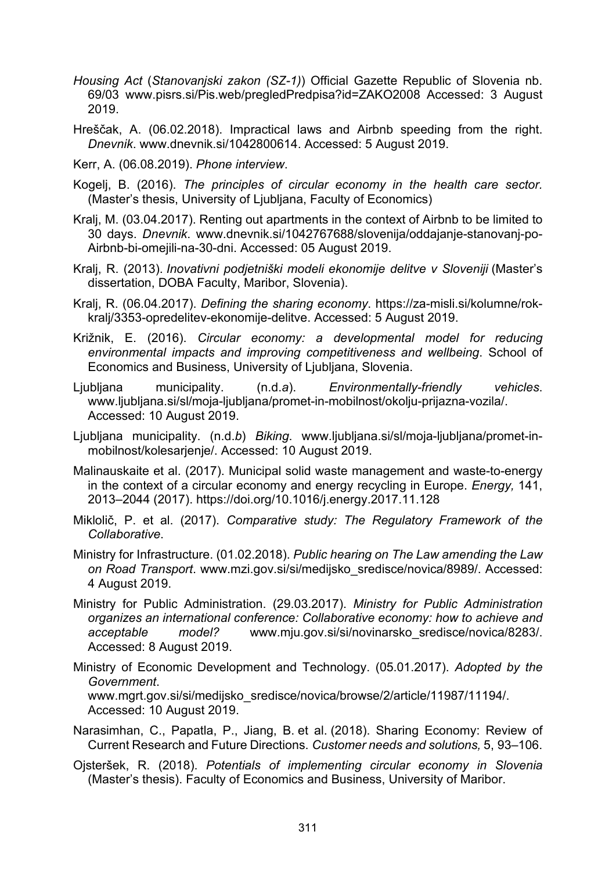- *Housing Act* (*Stanovanjski zakon (SZ-1)*) Official Gazette Republic of Slovenia nb. 69/03 [www.pisrs.si/Pis.web/pregledPredpisa?id=ZAKO2008](http://www.pisrs.si/Pis.web/pregledPredpisa?id=ZAKO2008) Accessed: 3 August 2019.
- Hreščak, A. (06.02.2018). Impractical laws and Airbnb speeding from the right. *Dnevnik*. [www.dnevnik.si/1042800614.](https://www.dnevnik.si/1042800614) Accessed: 5 August 2019.

Kerr, A. (06.08.2019). *Phone interview*.

- Kogelj, B. (2016). *The principles of circular economy in the health care sector.*  (Master's thesis, University of Ljubljana, Faculty of Economics)
- Kralj, M. (03.04.2017). Renting out apartments in the context of Airbnb to be limited to 30 days. *Dnevnik*. [www.dnevnik.si/1042767688/slovenija/oddajanje-stanovanj-po-](https://www.dnevnik.si/1042767688/slovenija/oddajanje-stanovanj-po-airbnb-bi-omejili-na-30-dni)Airbnb-bi[-omejili-na-30-dni.](https://www.dnevnik.si/1042767688/slovenija/oddajanje-stanovanj-po-airbnb-bi-omejili-na-30-dni) Accessed: 05 August 2019.
- Kralj, R. (2013). *Inovativni podjetniški modeli ekonomije delitve v Sloveniji* (Master's dissertation, DOBA Faculty, Maribor, Slovenia).
- Kralj, R. (06.04.2017). *Defining the sharing economy*. [https://za-misli.si/kolumne/rok](https://za-misli.si/kolumne/rok-kralj/3353-opredelitev-ekonomije-delitve)[kralj/3353-opredelitev-ekonomije-delitve.](https://za-misli.si/kolumne/rok-kralj/3353-opredelitev-ekonomije-delitve) Accessed: 5 August 2019.
- Križnik, E. (2016). *Circular economy: a developmental model for reducing environmental impacts and improving competitiveness and wellbeing*. School of Economics and Business, University of Ljubljana, Slovenia.
- Ljubljana municipality. (n.d.*a*). *Environmentally-friendly vehicles*. [www.ljubljana.si/sl/moja](https://www.ljubljana.si/sl/moja-ljubljana/promet-in-mobilnost/okolju-prijazna-vozila/)-ljubljana/promet-in-mobilnost/okolju-prijazna-vozila/. Accessed: 10 August 2019.
- Ljubljana municipality. (n.d.*b*) *Biking*. [www.ljubljana.si/sl/moja](https://www.ljubljana.si/sl/moja-ljubljana/promet-in-mobilnost/kolesarjenje/)-ljubljana/promet-in[mobilnost/kolesarjenje/](https://www.ljubljana.si/sl/moja-ljubljana/promet-in-mobilnost/kolesarjenje/). Accessed: 10 August 2019.
- Malinauskaite et al. (2017). Municipal solid waste management and waste-to-energy in the context of a circular economy and energy recycling in Europe. *Energy,* 141, 2013–2044 (2017). https:/[/doi.org/10.1016/j.energy.2017.11.128](https://doi.org/10.1016/j.energy.2017.11.128)
- Miklolič, P. et al. (2017). *Comparative study: The Regulatory Framework of the Collaborative*.
- Ministry for Infrastructure. (01.02.2018). *Public hearing on The Law amending the Law on Road Transport*. [www.mzi.gov.si/si/medijsko\\_sredisce/novica/8989/.](http://www.mzi.gov.si/si/medijsko_sredisce/novica/8989/) Accessed: 4 August 2019.
- Ministry for Public Administration. (29.03.2017). *Ministry for Public Administration organizes an international conference: Collaborative economy: how to achieve and acceptable model?* [www.mju.gov.si/si/novinarsko\\_sredisce/novica/8283/.](http://www.mju.gov.si/si/novinarsko_sredisce/novica/8283/) Accessed: 8 August 2019.
- Ministry of Economic Development and Technology. (05.01.2017). *Adopted by the Government*. [www.mgrt.gov.si/si/medijsko\\_sredisce/novica/browse/2/a](http://www.mgrt.gov.si/si/medijsko_sredisce/novica/browse/2/article/11987/11194/)rticle/11987/11194/. Accessed: 10 August 2019.
- Narasimhan, C., Papatla, P., Jiang, B. et al. (2018). Sharing Economy: Review of Current Research and Future Directions. *Customer needs and solutions,* 5, 93–106.
- Ojsteršek, R. (2018). *Potentials of implementing circular economy in Slovenia* (Master's thesis). Faculty of Economics and Business, University of Maribor.